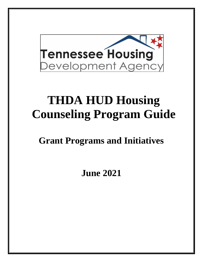

# **THDA HUD Housing Counseling Program Guide**

**Grant Programs and Initiatives**

**June 2021**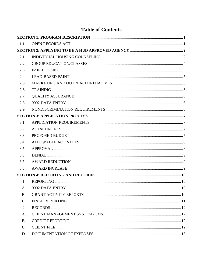|                 | LAMU VI UVIIUMIN |  |
|-----------------|------------------|--|
|                 |                  |  |
| 1.1.            |                  |  |
|                 |                  |  |
| 2.1.            |                  |  |
| 2.2.            |                  |  |
| 2.3.            |                  |  |
| 2.4.            |                  |  |
| 2.5.            |                  |  |
| 2.6.            |                  |  |
| 2.7.            |                  |  |
| 2.8.            |                  |  |
| 2.9.            |                  |  |
|                 |                  |  |
| 3.1             |                  |  |
| 3.2             |                  |  |
| 3.3             |                  |  |
| 3.4             |                  |  |
| 3.5             |                  |  |
| 3.6             |                  |  |
| 3.7             |                  |  |
| 3.8             |                  |  |
|                 |                  |  |
| 4.1.            |                  |  |
| A <sub>1</sub>  |                  |  |
| B <sub>1</sub>  |                  |  |
| $\mathcal{C}$ . |                  |  |
| 4.2.            |                  |  |
| A.              |                  |  |
| <b>B.</b>       |                  |  |
| C.              |                  |  |
| D.              |                  |  |

# Table of Contents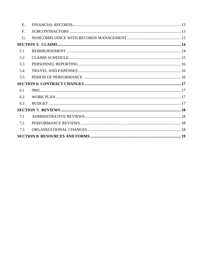| E.  |  |
|-----|--|
| F.  |  |
| G.  |  |
|     |  |
| 5.1 |  |
| 5.2 |  |
| 5.3 |  |
| 5.4 |  |
| 5.5 |  |
|     |  |
|     |  |
| 6.1 |  |
| 6.2 |  |
| 6.3 |  |
|     |  |
| 7.1 |  |
| 7.2 |  |
| 7.3 |  |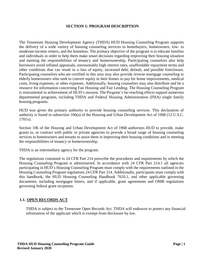#### **SECTION 1: PROGRAM DESCRIPTION**

<span id="page-3-0"></span>The Tennessee Housing Development Agency (THDA) HUD Housing Counseling Program supports the delivery of a wide variety of housing counseling services to homebuyers, homeowners, low- to moderate-income renters, and the homeless. The primary objective of the program is to educate families and individuals in order to help them make smart decisions regarding improving their housing situation and meeting the responsibilities of tenancy and homeownership. Participating counselors also help borrowers avoid inflated appraisals, unreasonably high interest rates, unaffordable repayment terms and other conditions that can result in a loss of equity, increased debt, default, and possible foreclosure. Participating counselors who are certified in this area may also provide reverse mortgage counseling to elderly homeowners who seek to convert equity in their homes to pay for home improvements, medical costs, living expenses, or other expenses. Additionally, housing counselors may also distribute and be a resource for information concerning Fair Housing and Fair Lending. The Housing Counseling Program is instrumental to achievement of HUD's mission. The Program's far-reaching effects support numerous departmental programs, including THDA and Federal Housing Administration (FHA) single family housing programs.

HUD was given the primary authority to provide housing counseling services. This declaration of authority is found in subsection 106(a) of the Housing and Urban Development Act of 1968 (12 U.S.C. 1701x).

Section 106 of the Housing and Urban Development Act of 1968 authorizes HUD to provide, make grants to, or contract with public or private agencies to provide a broad range of housing counseling services to homeowners and tenants to assist them in improving their housing conditions and in meeting the responsibilities of tenancy or homeownership.

THDA is an intermediary agency for the program.

The regulations contained in 24 CFR Part 214 prescribe the procedures and requirements by which the Housing Counseling Program is administered. In accordance with 24 CFR Part 214.1 all agencies participating in HUD's Housing Counseling Program must comply with the requirements outlined in the Housing Counseling Program regulations 24 CFR Part 214. Additionally, participants must comply with this handbook, the HUD Housing Counseling Handbook 7610.1, and other applicable governing documents, including mortgagee letters, and if applicable, grant agreements and OMB regulations governing federal grant recipients.

# <span id="page-3-1"></span>**1.1. OPEN RECORDS ACT**

THDA is subject to the Tennessee Open Records Act. THDA will endeavor to protect any financial information of the applicant which is exempt from disclosure by law.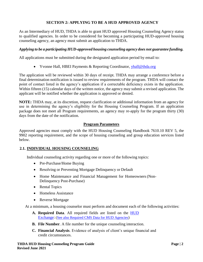# **SECTION 2: APPLYING TO BE A HUD APPROVED AGENCY**

<span id="page-4-0"></span>As an Intermediary of HUD, THDA is able to grant HUD approved Housing Counseling Agency status to qualified agencies. In order to be considered for becoming a participating HUD-approved housing counseling agency, an agency must submit an application to THDA.

#### *Applying to be a participating HUD-approved housing counseling agency does not guarantee funding.*

All applications must be submitted during the designated application period by email to:

• Yvonne Hall, HBEI Payments & Reporting Coordinator, [yhall@thda.org](mailto:yhall@thda.org)

The application will be reviewed within 30 days of receipt. THDA may arrange a conference before a final determination notification is issued to review requirements of the program. THDA will contact the point of contact listed in the agency's application if a correctable deficiency exists in the application. Within fifteen (15) calendar days of the written notice, the agency may submit a revised application. The applicant will be notified whether the application is approved or denied.

**NOTE:** THDA may, at its discretion, request clarification or additional information from an agency for use in determining the agency's eligibility for the Housing Counseling Program. If an application package does not meet all Program requirements, an agency may re-apply for the program thirty (30) days from the date of the notification.

# **Program Parameters**

Approved agencies must comply with the HUD Housing Counseling Handbook 7610.10 REV 5, the 9902 reporting requirement, and the scope of housing counseling and group education services listed below.

# <span id="page-4-1"></span>**2.1. INDIVIDUAL HOUSING COUNSELING**

Individual counseling activity regarding one or more of the following topics:

- Pre-Purchase/Home Buying
- Resolving or Preventing Mortgage Delinquency or Default
- Home Maintenance and Financial Management for Homeowners (Non-Delinquency Post-Purchase)
- Rental Topics
- Homeless Assistance
- Reverse Mortgage

At a minimum, a housing counselor must perform and document each of the following activities:

- **A. Required Data**. All required fields are listed on the [HUD](https://www.hudexchange.info/)  [Exchange:](https://www.hudexchange.info/) [\(See also Required CMS Data for HUD Agencies](https://thda.org/pdf/Required-CMS-Data-for-HUD-Agencies.pdf))
- **B. File Number**. A file number for the unique counseling interaction.
- **C. Financial Analysis**. Evidence of analysis of client's unique financial and credit circumstances.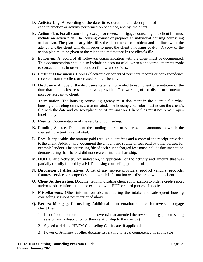- **D. Activity Log**. A recording of the date, time, duration, and description of each interaction or activity performed on behalf of, and by, the client.
- **E. Action Plan**. For all counseling, except for reverse mortgage counseling, the client file must include an action plan. The housing counselor prepares an individual housing counseling action plan. The plan clearly identifies the client need or problem and outlines what the agency and the client will do in order to meet the client's housing goal(s). A copy of the action plan must be given to the client and maintained in the client's file.
- **F. Follow-up**. A record of all follow-up communication with the client must be documented. This documentation should also include an account of all written and verbal attempts made to contact clients in order to conduct follow-up sessions.
- **G. Pertinent Documents**. Copies (electronic or paper) of pertinent records or correspondence received from the client or created on their behalf.
- **H. Disclosure**. A copy of the disclosure statement provided to each client or a notation of the date that the disclosure statement was provided. The wording of the disclosure statement must be relevant to client.
- **I. Termination**. The housing counseling agency must document in the client's file when housing counseling services are terminated. The housing counselor must notate the client's file with the date and cause/explanation of termination. Client files must not remain open indefinitely.
- **J. Results**. Documentation of the results of counseling.
- **K. Funding Source**. Document the funding source or sources, and amounts to which the counseling activity is attributed.
- **L. Fees**. If applicable, the amount paid through client fees and a copy of the receipt provided to the client. Additionally, document the amount and source of fees paid by other parties, for example lenders. The counseling file of each client charged fees must include documentation demonstrating that the cost did not create a financial hardship.
- **M. HUD Grant Activity**. An indication, if applicable, of the activity and amount that was partially or fully funded by a HUD housing counseling grant or sub-grant.
- **N. Discussion of Alternatives**. A list of any service providers, product vendors, products, features, services or properties about which information was discussed with the client.
- **O. Client Authorization**. Documentation indicating client authorization to order a credit report and/or to share information, for example with HUD or third parties, if applicable.
- **P. Miscellaneous**. Other information obtained during the intake and subsequent housing counseling sessions not mentioned above.
- **Q. Reverse Mortgage Counseling**. Additional documentation required for reverse mortgage client files:
	- 1. List of people other than the borrower(s) that attended the reverse mortgage counseling session and a description of their relationship to the client(s)
	- 2. Signed and dated HECM Counseling Certificate, if applicable
	- 3. Power of Attorney or other documents relating to legal competency, if applicable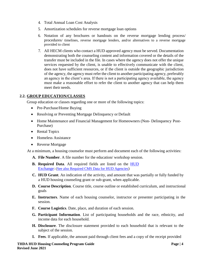- 4. Total Annual Loan Cost Analysis
- 5. Amortization schedules for reverse mortgage loan options
- 6. Notation of any brochures or handouts on the reverse mortgage lending process/ procedures/ timelines, reverse mortgage lenders, and/or alternatives to a reverse mortgage provided to client
- 7. All HECM clients who contact a HUD approved agency must be served. Documentation demonstrating both the counseling content and information covered or the details of the transfer must be included in the file. In cases where the agency does not offer the unique services requested by the client, is unable to effectively communicate with the client, does not have sufficient resources, or if the client is outside the geographic jurisdiction of the agency, the agency must refer the client to another participating agency, preferably an agency in the client's area. If there is not a participating agency available, the agency must make a reasonable effort to refer the client to another agency that can help them meet their needs.

# <span id="page-6-0"></span>**2.2. GROUP EDUCATION/CLASSES**

Group education or classes regarding one or more of the following topics:

- Pre-Purchase/Home Buying
- Resolving or Preventing Mortgage Delinquency or Default
- Home Maintenance and Financial Management for Homeowners (Non- Delinquency Post-Purchase)
- Rental Topics
- Homeless Assistance
- Reverse Mortgage

At a minimum, a housing counselor must perform and document each of the following activities:

- **A. File Number**. A file number for the education/ workshop session.
- **B. Required Data**. All required fields are listed on the [HUD](https://www.hudexchange.info/)  [Exchange:](https://www.hudexchange.info/) [\(See also Required CMS Data for HUD Agencies](https://thda.org/pdf/Required-CMS-Data-for-HUD-Agencies.pdf))
- **C. HUD Grant**. An indication of the activity, and amount that was partially or fully funded by a HUD housing counseling grant or sub-grant, when applicable.
- **D. Course Description**. Course title, course outline or established curriculum, and instructional goals
- **E. Instructors**. Name of each housing counselor, instructor or presenter participating in the session.
- **F. Course Logistics**. Date, place, and duration of each session.
- **G. Participant Information**. List of participating households and the race, ethnicity, and income data for each household.
- **H. Disclosure**. The disclosure statement provided to each household that is relevant to the subject of the session.
- **I. Fees**. If applicable, the amount paid through client fees and a copy of the receipt provided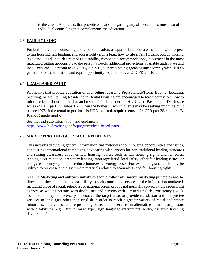to the client. Applicants that provide education regarding any of these topics must also offer individual counseling that complements the education.

# <span id="page-7-0"></span>**2.3. FAIR HOUSING**

For both individual counseling and group education, as appropriate, educate the client with respect to fair housing, fair lending, and accessibility rights (e.g., how to file a Fair Housing Act complaint, legal and illegal inquiries related to disability, reasonable accommodations, placement in the most integrated setting appropriate to the person's needs, additional protections available under state and local laws, etc.). Pursuant to 24 CFR § 214.503, all participating agencies must comply with HUD's general nondiscrimination and equal opportunity requirements at 24 CFR § 5.105.

# <span id="page-7-1"></span>**2.4. LEAD-BASED PAINT**

Applicants that provide education or counseling regarding Pre-Purchase/Home Buying, Locating, Securing, or Maintaining Residence in Rental Housing are encouraged to teach counselors how to inform clients about their rights and responsibilities under the HUD Lead-Based Paint Disclosure Rule (24 CFR part 35, subpart A) when the homes in which clients may be seeking might be built before 1978. If the rental or purchase is HUD-assisted, requirements of 24 CFR part 35, subparts B, K and R might apply.

See the lead-safe information and guidance at: <https://www.hudexchange.info/programs/lead-based-paint/>

# <span id="page-7-2"></span>**2.5. MARKETING AND OUTREACH INITIATIVES**

This includes providing general information and materials about housing opportunities and issues, conducting informational campaigns, advocating with lenders for non-traditional lending standards and raising awareness about critical housing topics, such as fair housing rights and remedies, lending discrimination, predatory lending, mortgage fraud, lead safety, other fair lending issues, or energy efficiency options to reduce homeowner energy costs. For example, grant funds may be utilized to purchase and disseminate materials related to scam alerts and fair housing rights.

**NOTE:** Marketing and outreach initiatives should follow affirmative marketing principles and be directed at those populations least likely to seek counseling services or the information marketed, including those of racial, religious, or national origin groups not normally served by the sponsoring agency, as well as persons with disabilities and persons with Limited English Proficiency (LEP). To do so, it may be necessary to broaden the target areas or provide translation and interpretive services in languages other than English in order to reach a greater variety of racial and ethnic minorities. It may also require providing outreach and services in alternative formats for persons with disabilities (e.g., Braille, large type, sign language interpreters, audio, assistive listening devices, etc.).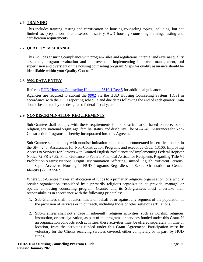# <span id="page-8-0"></span>**2.6. TRAINING**

This includes training, testing and certification on housing counseling topics, including, but not limited to, preparation of counselors to satisfy HUD housing counseling training, testing and certification requirements.

#### <span id="page-8-1"></span>**2.7. QUALITY ASSURANCE**

This includes ensuring compliance with program rules and regulations, internal and external quality assurance, program evaluation and improvement, implementing improved management, and supervision and oversight of the housing counseling program. Steps for quality assurance should be identifiable within your Quality Control Plan.

#### <span id="page-8-2"></span>**2.8. 9902 DATA ENTRY**

Refer to [HUD Housing Counseling Handbook 7610.1 Rev 5](https://www.hud.gov/sites/documents/76101HSGH.PDF) for additional guidance**.**

Agencies are required to submit the [9902](https://www.hudexchange.info/resource/4738/9902-form-and-instructions/) via the HUD Housing Counseling System (HCS) in accordance with the HUD reporting schedule and due dates following the end of each quarter. Data should be entered by the designated federal fiscal year.

# <span id="page-8-3"></span>**2.9. NONDISCRIMINATION REQUIREMENTS**

Sub-Grantee shall comply with these requirements for nondiscrimination based on race, color, religion, sex, national origin, age, familial status, and disability. The SF- 4248, Assurances for Non-Construction Programs, is hereby incorporated into this Agreement

Sub-Grantee shall comply with nondiscrimination requirements enumerated in certification six in the SF- 4248, Assurances for Non-Construction Programs and executive Order 13166, Improving Access to Services for Persons with Limited English Proficiency and implementing Federal Register Notice 72 FR 27 32, Final Guidance to Federal Financial Assistance Recipients Regarding Title VI Prohibition Against National Origin Discrimination Affecting Limited English Proficient Persons; and Equal Access to Housing in HUD Programs Regardless of Sexual Orientation or Gender Identity (77 FR 5562).

Where Sub-Grantee makes an allocation of funds to a primarily religious organization, or a wholly secular organization established by a primarily religious organization, to provide, manage, or operate a housing counseling program, Grantee and its Sub-grantees must undertake their responsibilities in accordance with the following principles:

- 1. Sub-Grantees shall not discriminate on behalf of or against any segment of the population in the provision of services or in outreach, including those of other religious affiliations.
- 2. Sub-Grantees shall not engage in inherently religious activities, such as worship, religious instruction, or proselytization, as part of the programs or services funded under this Grant. If an organization conducts such activities, these activities must be offered separately, in time or location, from the activities funded under this Grant Agreement. Participation must be voluntary for the Clients receiving services covered, either completely or in part, by HUD funds.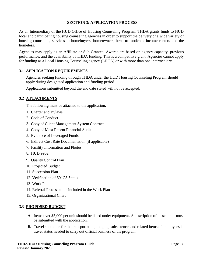# **SECTION 3: APPLICATION PROCESS**

<span id="page-9-0"></span>As an Intermediary of the HUD Office of Housing Counseling Program, THDA grants funds to HUD local and participating housing counseling agencies in order to support the delivery of a wide variety of housing counseling services to homebuyers, homeowners, low- to moderate-income renters and the homeless.

Agencies may apply as an Affiliate or Sub-Grantee. Awards are based on agency capacity, previous performance, and the availability of THDA funding. This is a competitive grant. Agencies cannot apply for funding as a Local Housing Counseling agency (LHCA) or with more than one intermediary.

# <span id="page-9-1"></span>**3.1 APPLICATION REQUIREMENTS**

Agencies seeking funding through THDA under the HUD Housing Counseling Program should apply during designated application and funding period.

Applications submitted beyond the end date stated will not be accepted.

# <span id="page-9-2"></span>**3.2 ATTACHMENTS**

The following must be attached to the application:

- 1. Charter and Bylaws
- 2. Code of Conduct
- 3. Copy of Client Management System Contract
- 4. Copy of Most Recent Financial Audit
- 5. Evidence of Leveraged Funds
- 6. Indirect Cost Rate Documentation (if applicable)
- 7. Facility Information and Photos
- 8. HUD 9902
- 9. Quality Control Plan
- 10. Projected Budget
- 11. Succession Plan
- 12. Verification of 501C3 Status
- 13. Work Plan
- 14. Referral Process to be included in the Work Plan
- 15. Organizational Chart

# <span id="page-9-3"></span>**3.3 PROPOSED BUDGET**

- **A.** Items over \$5,000 per unit should be listed under equipment. A description of these items must be submitted with the application.
- **B.** Travel should be for the transportation, lodging, subsistence, and related items of employees in travel status needed to carry out official business of the program.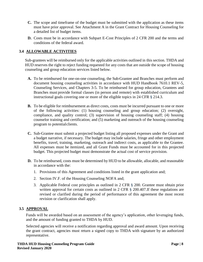- **C.** The scope and timeframe of the budget must be submitted with the application as these items must have prior approval. See Attachment A in the Grant Contract for Housing Counseling for a detailed list of budget items.
- **D.** Costs must be in accordance with Subpart E-Cost Principles of 2 CFR 200 and the terms and conditions of the federal award.

# <span id="page-10-0"></span>**3.4 ALLOWABLE ACTIVITIES**

Sub-grantees will be reimbursed only for the applicable activities outlined in this section. THDA and HUD reserves the right to reject funding requested for any costs that are outside the scope of housing counseling and group education services listed below.

- **A.** To be reimbursed for one-on-one counseling, the Sub-Grantee and Branches must perform and document housing counseling activities in accordance with HUD Handbook 7610.1 REV-5, Counseling Services, and Chapters 3-5. To be reimbursed for group education, Grantees and Branches must provide formal classes (in person and remote) with established curriculum and instructional goals covering one or more of the eligible topics in 24 CFR § 214.3.
- **B.** To be eligible for reimbursement as direct costs, costs must be incurred pursuant to one or more of the following activities: (1) housing counseling and group education; (2) oversight, compliance, and quality control; (3) supervision of housing counseling staff; (4) housing counselor training and certification; and (5) marketing and outreach of the housing counseling program to potentialclients.
- **C.** Sub-Grantee must submit a projected budget listing all proposed expenses under the Grant and a budget narrative, if necessary. The budget may include salaries, fringe and other employment benefits, travel, training, marketing, outreach and indirect costs, as applicable to the Grantee. All expenses must be itemized, and all Grant Funds must be accounted for in this projected budget. This projected budget must demonstrate the actual cost of service provision.
- **D.** To be reimbursed, costs must be determined by HUD to be allowable, allocable, and reasonable in accordance with the:
	- 1. Provisions of this Agreement and conditions listed in the grant application and;
	- 2. Section IV.F. of the Housing Counseling NOFA and;
	- 3. Applicable Federal cost principles as outlined in 2 CFR § 200. Grantee must obtain prior written approval for certain costs as outlined in 2 CFR § 200.407. If these regulations are revised or clarified during the period of performance of this agreement the most recent revision or clarification shall apply.

# <span id="page-10-1"></span>**3.5 APPROVAL**

Funds will be awarded based on an assessment of the agency's application, other leveraging funds, and the amount of funding granted to THDA by HUD.

Selected agencies will receive a notification regarding approval and award amount. Upon receiving the grant contract, agencies must return a signed copy to THDA with signature by an authorized representative.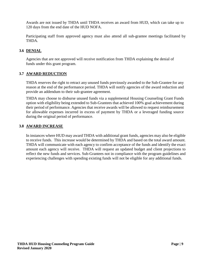Awards are not issued by THDA until THDA receives an award from HUD, which can take up to 120 days from the end date of the HUD NOFA.

Participating staff from approved agency must also attend all sub-grantee meetings facilitated by THDA.

# <span id="page-11-0"></span>**3.6 DENIAL**

Agencies that are not approved will receive notification from THDA explaining the denial of funds under this grant program.

# <span id="page-11-1"></span>**3.7 AWARD REDUCTION**

THDA reserves the right to retract any unused funds previously awarded to the Sub-Grantee for any reason at the end of the performance period. THDA will notify agencies of the award reduction and provide an addendum to their sub-grantee agreement.

THDA may choose to disburse unused funds via a supplemental Housing Counseling Grant Funds option with eligibility being extended to Sub-Grantees that achieved 100% goal achievement during their period of performance. Agencies that receive awards will be allowed to request reimbursement for allowable expenses incurred in excess of payment by THDA or a leveraged funding source during the original period of performance.

#### <span id="page-11-2"></span>**3.8 AWARD INCREASE**

In instances where HUD may award THDA with additional grant funds, agencies may also be eligible to receive funds. This increase would be determined by THDA and based on the total award amount. THDA will communicate with each agency to confirm acceptance of the funds and identify the exact amount each agency will receive. THDA will request an updated budget and client projections to reflect the new funds and services. Sub-Grantees not in compliance with the program guidelines and experiencing challenges with spending existing funds will not be eligible for any additional funds.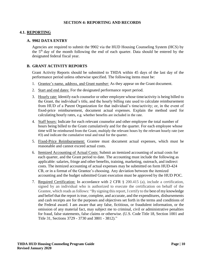#### **SECTION 4: REPORTING AND RECORDS**

#### <span id="page-12-2"></span><span id="page-12-1"></span><span id="page-12-0"></span>**4.1. REPORTING**

#### **A. 9902 DATA ENTRY**

Agencies are required to submit the 9902 via the HUD Housing Counseling System (HCS) by the 5th day of the month following the end of each quarter. Data should be entered by the designated federal fiscal year.

#### <span id="page-12-3"></span>**B. GRANT ACTIVITY REPORTS**

Grant Activity Reports should be submitted to THDA within 45 days of the last day of the performance period unless otherwise specified. The following items must be:

- 1. Grantee's name, address, and Grant number: As they appear on the Grant document.
- 2. Start and end dates: For the designated performance report period.
- 3. Hourly rate: Identify each counselor or other employee whose time/activity is being billed to the Grant, the individual's title, and the hourly billing rate used to calculate reimbursement from HUD of a Parent Organization for that individual's time/activity; or, in the event of fixed-price reimbursement, document actual expenses. Explain the method used for calculating hourly rates, e.g. whether benefits are included in the rate.
- 4. Staff hours: Indicate for each relevant counselor and other employee the total number of hours being billed to the Grant cumulatively and for the quarter. For each employee whose time will be reimbursed from the Grant, multiply the relevant hours by the relevant hourly rate (see #3) and indicate the cumulative total and total for the quarter.
- 5. Fixed-Price Reimbursement: Grantee must document actual expenses, which must be reasonable and cannot exceed actual costs.
- 6. Itemized Accounting of Actual Costs: Submit an itemized accounting of actual costs for each quarter, and the Grant period to date. The accounting must include the following as applicable: salaries, fringe and other benefits, training, marketing, outreach, and indirect costs. The itemized accounting of actual expenses may be submitted on form HUD-424 CB, or in a format of the Grantee's choosing. Any deviation between the itemized accounting and the budget submitted Grant execution must be approved by the HUD POC.
- 7. Required Certification: In accordance with 2 CFR § 200.415 (a), include a certification, signed by an individual who is authorized to execute the certification on behalf of the Grantee, which reads as follows: "By signing this report, I certify to the best of my knowledge and belief that the report is true, complete, and accurate, and the expenditures, disbursements and cash receipts are for the purposes and objectives set forth in the terms and conditions of the Federal award. I am aware that any false, fictitious, or fraudulent information, or the omission of any material fact, may subject me to criminal, civil or administrative penalties for fraud, false statements, false claims or otherwise. (U.S. Code Title 18, Section 1001 and Title 31, Sections 3729 - 3730 and 3801 - 3812)."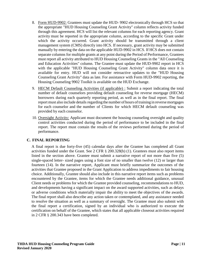- 8. Form HUD-9902: Grantees must update the HUD- 9902 electronically through HCS so that the appropriate "HUD Housing Counseling Grant Activity" column reflects activity funded through this agreement. HCS will list the relevant columns for each reporting agency. Grant activity must be reported in the appropriate column, according to the specific Grant under which the activity occurred. Grant activity should be transmitted through a client management system (CMS) directly into HCS. If necessary, grant activity may be submitted manually by entering the data on the applicable HUD-9902 in HCS. If HCS does not contain separate columns for multiple grants at any point during the Period of Performance, Grantees must report all activity attributed to HUD Housing Counseling Grants in the "All Counseling and Education Activities" column. The Grantee must update the HUD-9902 report in HCS with the applicable "HUD Housing Counseling Grant Activity" column data once it is available for entry. HUD will not consider retroactive updates to the "HUD Housing Counseling Grant Activity" data as late. For assistance with Form HUD-9902 reporting, the Housing Counseling 9902 Toolkit is available on the HUD Exchange.
- 9. HECM Default Counseling Activities (if applicable) : Submit a report indicating the total number of default counselors providing default counseling for reverse mortgage (HECM) borrowers during each quarterly reporting period, as well as in the final report. The final report must also include details regarding the number of hours of training in reverse mortgages for each counselor and the number of Clients for which HECM default counseling was provided by each counselor.
- 10. Oversight Activity: Applicant must document the housing counseling oversight and quality control activities conducted during the period of performance to be included in the final report. The report must contain the results of the reviews performed during the period of performance.

# <span id="page-13-0"></span>**C. FINAL REPORTING**

A final report is due forty-five (45) calendar days after the Grantee has completed all Grant activities funded under the Grant. See 2 CFR § 200.328(b) (1). Grantees must also report items listed in the section above. Grantee must submit a narrative report of not more than five (5) single-spaced letter- sized pages using a font size of no smaller than twelve (12) or larger than fourteen (14). In the narrative report, Applicant must briefly summarize the outcomes of the activities that Grantee proposed in the Grant Application to address impediments to fair housing choice. Additionally, Grantee should also include in this narrative report items such as problems encountered by the Grantee, items for which the Grantee needs additional guidance, unusual Client needs or problems for which the Grantee provided counseling, recommendations to HUD, and developments having a significant impact on the award supported activities, such as delays or adverse conditions which materially impair the ability to meet the objectives of the awards. The final report shall also describe any action taken or contemplated, and any assistance needed to resolve the situation as well as a summary of oversight. The Grantee must also submit with the final report a certification, signed by an individual who is authorized to execute the certification on behalf of the Grantee, which states that all applicable closeout activities required in 2 CFR § 200.343 have been completed.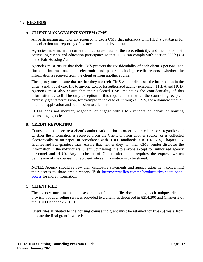# <span id="page-14-0"></span>**4.2. RECORDS**

#### <span id="page-14-1"></span>**A. CLIENT MANAGEMENT SYSTEM (CMS)**

All participating agencies are required to use a CMS that interfaces with HUD's databases for the collection and reporting of agency and client-level data.

Agencies must maintain current and accurate data on the race, ethnicity, and income of their counseling clients and education participants so that HUD can comply with Section 808(e) (6) ofthe Fair Housing Act.

Agencies must ensure that their CMS protects the confidentiality of each client's personal and financial information, both electronic and paper, including credit reports, whether the informationis received from the client or from another source.

The agency must ensure that neither they nor their CMS vendor discloses the information in the client's individual case file to anyone except for authorized agency personnel, THDA and HUD. Agencies must also ensure that their selected CMS maintains the confidentiality of this information as well. The only exception to this requirement is when the counseling recipient expressly grants permission, for example in the case of, through a CMS, the automatic creation of a loan application and submission to a lender.

THDA does not monitor, negotiate, or engage with CMS vendors on behalf of housing counseling agencies.

#### <span id="page-14-2"></span>**B. CREDIT REPORTING**

Counselors must secure a client's authorization prior to ordering a credit report, regardless of whether the information is received from the Client or from another source, or is collected electronically or on paper. In accordance with HUD Handbook 7610.1 REV-5, Chapter 5-6, Grantee and Sub-grantees must ensure that neither they nor their CMS vendor discloses the information in the individual's Client Counseling File to anyone except for authorized agency personnel and HUD. Any disclosure of Client information requires the express written permission of the counseling recipient whose information is to be shared.

**NOTE**: Agency should review their disclosure statements and agency agreement concerning their access to share credit reports. Visit [https://www.fico.com/en/products/fico-score-open](https://www.fico.com/en/products/fico-score-open-access)[access](https://www.fico.com/en/products/fico-score-open-access) for more information.

#### <span id="page-14-3"></span>**C. CLIENT FILE**

The agency must maintain a separate confidential file documenting each unique, distinct provision of counseling services provided to a client, as described in §214.300 and Chapter 3 of the HUD Handbook 7610.1.

Client files attributed to the housing counseling grant must be retained for five (5) years from the date the final grant invoice is paid.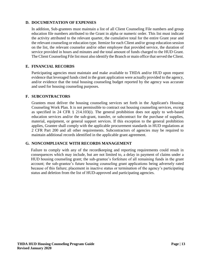#### <span id="page-15-0"></span>**D. DOCUMENTATION OF EXPENSES**

In addition, Sub-grantees must maintain a list of all Client Counseling File numbers and group education file numbers attributed to the Grant in alpha or numeric order. This list must indicate the activity attributed to the relevant quarter, the cumulative total for the entire Grant year and the relevant counseling or education type. Itemize for each Client and/or group education session on the list, the relevant counselor and/or other employee that provided service, the duration of service provided in hours and minutes and the total amount of funds charged to the HUD Grant. The Client Counseling File list must also identify the Branch or main office that served theClient.

# <span id="page-15-1"></span>**E. FINANCIAL RECORDS**

Participating agencies must maintain and make available to THDA and/or HUD upon request evidence that leveraged funds cited in the grant application were actually provided to the agency, and/or evidence that the total housing counseling budget reported by the agency was accurate and used for housing counseling purposes.

# <span id="page-15-2"></span>**F. SUBCONTRACTORS**

Grantees must deliver the housing counseling services set forth in the Applicant's Housing Counseling Work Plan. It is not permissible to contract out housing counseling services, except as specified in 24 CFR § 214.103(i). The general prohibition does not apply to web-based education services and/or the sub-grant, transfer, or subcontract for the purchase of supplies, material, equipment, or general support services. If this exception to the general prohibition applies, Grantee shall comply with the applicable procurement standards in HUD regulations at 2 CFR Part 200 and all other requirements. Subcontractors of agencies may be required to maintain additional records identified in the applicable grant agreement.

# <span id="page-15-3"></span>**G. NONCOMPLIANCE WITH RECORDS MANAGEMENT**

Failure to comply with any of the recordkeeping and reporting requirements could result in consequences which may include, but are not limited to, a delay in payment of claims under a HUD housing counseling grant; the sub-grantee's forfeiture of all remaining funds in the grant account; the sub-grantee's future housing counseling grant applications being adversely rated because of this failure; placement in inactive status or termination of the agency's participating status and deletion from the list of HUD-approved and participating agencies.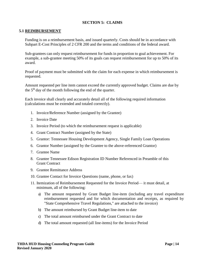# **SECTION 5: CLAIMS**

#### <span id="page-16-1"></span><span id="page-16-0"></span>**5.1 REIMBURSEMENT**

Funding is on a reimbursement basis, and issued quarterly. Costs should be in accordance with Subpart E-Cost Principles of 2 CFR 200 and the terms and conditions of the federal award.

Sub-grantees can only request reimbursement for funds in proportion to goal achievement. For example, a sub-grantee meeting 50% of its goals can request reimbursement for up to 50% of its award.

Proof of payment must be submitted with the claim for each expense in which reimbursement is requested.

Amount requested per line item cannot exceed the currently approved budget. Claims are due by the  $5<sup>th</sup>$  day of the month following the end of the quarter.

Each invoice shall clearly and accurately detail all of the following required information (calculations must be extended and totaled correctly).

- 1. Invoice/Reference Number (assigned by the Grantee)
- 2. Invoice Date
- 3. Invoice Period (to which the reimbursement request is applicable)
- 4. Grant Contract Number (assigned by the State)
- 5. Grantor: Tennessee Housing Development Agency, Single Family Loan Operations
- 6. Grantor Number (assigned by the Grantee to the above-referenced Grantor)
- 7. Grantee Name
- 8. Grantee Tennessee Edison Registration ID Number Referenced in Preamble of this Grant Contract
- 9. Grantee Remittance Address
- 10. Grantee Contact for Invoice Questions (name, phone, or fax)
- 11. Itemization of Reimbursement Requested for the Invoice Period— it must detail, at minimum, all of the following:
	- a) The amount requested by Grant Budget line-item (including any travel expenditure reimbursement requested and for which documentation and receipts, as required by "State Comprehensive Travel Regulations," are attached to the invoice)
	- b) The amount reimbursed by Grant Budget line-item to date
	- c) The total amount reimbursed under the Grant Contract to date
	- d) The total amount requested (all line-items) for the Invoice Period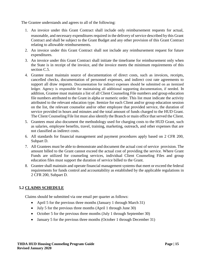The Grantee understands and agrees to all of the following:

- 1. An invoice under this Grant Contract shall include only reimbursement requests for actual, reasonable, and necessary expenditures required in the delivery of service described by this Grant Contract and shall be subject to the Grant Budget and any other provision of this Grant Contract relating to allowable reimbursements.
- 2. An invoice under this Grant Contract shall not include any reimbursement request for future expenditures.
- 3. An invoice under this Grant Contract shall initiate the timeframe for reimbursement only when the State is in receipt of the invoice, and the invoice meets the minimum requirements of this section C.5.
- 4. Grantee must maintain source of documentation of direct costs, such as invoices, receipts, cancelled checks, documentation of personnel expenses, and indirect cost rate agreements to support all draw requests. Documentation for indirect expenses should be submitted on an itemized ledger. Agency is responsible for maintaining all additional supporting documentation, if needed. In addition, Grantee must maintain a list of all Client Counseling File numbers and group education file numbers attributed to the Grant in alpha or numeric order. This list must indicate the activity attributed to the relevant education type. Itemize for each Client and/or group education session on the list, the relevant counselor and/or other employee that provided service, the duration of service provided in hours and minutes and the total amount of funds charged to the HUD Grant. The Client Counseling File list must also identify the Branch or main office that served the Client.
- 5. Grantees must also document the methodology used for charging costs to the HUD Grant, such as salaries, employee benefits, travel, training, marketing, outreach, and other expenses that are not classified as indirect costs.
- 6. All standards for financial management and payment procedures apply based on 2 CFR 200, Subpart D.
- 7. All Grantees must be able to demonstrate and document the actual cost of service provision. The amount billed to the Grant cannot exceed the actual cost of providing the service. Where Grant Funds are utilized for counseling services, individual Client Counseling Files and group education files must support the duration of service billed to the Grant.
- 8. Grantee shall maintain and operate financial management systems that meet or exceed the federal requirements for funds control and accountability as established by the applicable regulations in 2 CFR 200, Subpart D.

# <span id="page-17-0"></span>**5.2 CLAIMS SCHEDULE**

Claims should be submitted via one email per quarter as follows:

- April 5 for the previous three months (January 1 through March 31)
- July 5 for the previous three months (April 1 through June 30)
- October 5 for the previous three months (July 1 through September 30)
- January 5 for the previous three months (October 1 through December 31)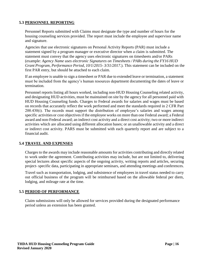# <span id="page-18-0"></span>**5.3 PERSONNEL REPORTING**

Personnel Reports submitted with Claims must designate the type and number of hours for the housing counseling services provided. The report must include the employee and supervisor name and signature.

Agencies that use electronic signatures on Personal Activity Reports (PAR) must include a statement signed by a program manager or executive director when a claim is submitted. The statement must convey that the agency uses electronic signatures on timesheets and/or PARs (example: *Agency Name uses electronic Signatures on Timesheets / PARs during the FY16 HUD Grant Program, Performance Period, 10/1/2015- 3/31/2017*.). This statement can be included on the first PAR entry, but should be attached to each claim.

If an employee is unable to sign a timesheet or PAR due to extended leave or termination, a statement must be included from the agency's human resources department documenting the dates of leave or termination.

Personnel reports listing all hours worked, including non-HUD Housing Counseling related activity, and designating HUD activities, must be maintained on site by the agency for all personnel paid with HUD Housing Counseling funds. Charges to Federal awards for salaries and wages must be based on records that accurately reflect the work performed and meet the standards required in 2 CFR Part 200.430(i). The records must support the distribution of employee's salaries and wages among specific activities or cost objectives if the employee works on more than one Federal award; a Federal award and non-Federal award; an indirect cost activity and a direct cost activity; two or more indirect activities which are allocated using different allocation bases; or an unallowable activity and a direct or indirect cost activity. PARS must be submitted with each quarterly report and are subject to a financial audit.

# <span id="page-18-1"></span>**5.4 TRAVEL AND EXPENSES**

Charges to the awards may include reasonable amounts for activities contributing and directly related to work under the agreement. Contributing activities may include, but are not limited to, delivering special lectures about specific aspects of the ongoing activity, writing reports and articles, securing project- specific data, participating in appropriate seminars, and attending meetings and conferences.

Travel such as transportation, lodging, and subsistence of employees in travel status needed to carry out official business of the program will be reimbursed based on the allowable federal per diem, lodging, and mileage rate at the time.

# <span id="page-18-2"></span>**5.5 PERIOD OF PERFORMANCE**

Claim submissions will only be allowed for services provided during the designated performance period unless an extension has been granted.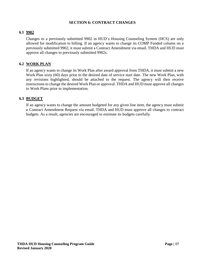#### **SECTION 6: CONTRACT CHANGES**

#### <span id="page-19-1"></span><span id="page-19-0"></span>**6.1 9902**

Changes to a previously submitted 9902 in HUD's Housing Counseling System (HCS) are only allowed for modification to billing. If an agency wants to change its COMP Funded column on a previously submitted 9902, it must submit a Contract Amendment via email. THDA and HUD must approve all changes to previously submitted 9902s.

#### <span id="page-19-2"></span>**6.2 WORK PLAN**

If an agency wants to change its Work Plan after award approval from THDA, it must submit a new Work Plan sixty (60) days prior to the desired date of service start date. The new Work Plan, with any revisions highlighted, should be attached to the request. The agency will then receive instructions to change the desired Work Plan or approval. THDA and HUD must approve all changes to Work Plans prior to implementation.

#### <span id="page-19-3"></span>**6.3 BUDGET**

If an agency wants to change the amount budgeted for any given line item, the agency must submit a Contract Amendment Request via email. THDA and HUD must approve all changes to contract budgets. As a result, agencies are encouraged to estimate its budgets carefully.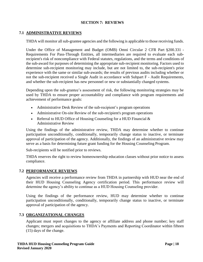#### **SECTION 7: REVIEWS**

#### <span id="page-20-1"></span><span id="page-20-0"></span>**7.1 ADMINISTRATIVE REVIEWS**

THDA will monitor all sub-grantee agencies and the following is applicable to those receiving funds.

Under the Office of Management and Budget (OMB) Omni Circular 2 CFR Part §200.331 - Requirements For Pass-Through Entities, all intermediaries are required to evaluate each subrecipient's risk of noncompliance with Federal statutes, regulations, and the terms and conditions of the sub-award for purposes of determining the appropriate sub-recipient monitoring. Factors used to determine sub-recipient monitoring may include, but are not limited to, the sub-recipient's prior experience with the same or similar sub-awards; the results of previous audits including whether or not the sub-recipient received a Single Audit in accordance with Subpart F - Audit Requirements, and whether the sub-recipient has new personnel or new or substantially changed systems.

Depending upon the sub-grantee's assessment of risk, the following monitoring strategies may be used by THDA to ensure proper accountability and compliance with program requirements and achievement of performance goals:

- Administrative Desk Review of the sub-recipient's program operations
- Administrative On-site Review of the sub-recipient's program operations
- Referral to HUD Office of Housing Counseling for a HUD Financial  $\&$ Administrative Review

Using the findings of the administrative review, THDA may determine whether to continue participation unconditionally, conditionally, temporarily change status to inactive, or terminate approval of participation of the agency. Additionally, the findings of an administrative review may serve as a basis for determining future grant funding for the Housing Counseling Program.

Sub-recipients will be notified prior to reviews.

THDA reserves the right to review homeownership education classes without prior notice to assess compliance.

#### <span id="page-20-2"></span>**7.2 PERFORMANCE REVIEWS**

Agencies will receive a performance review from THDA in partnership with HUD near the end of their HUD Housing Counseling Agency certification period. This performance review will determine the agency's ability to continue as a HUD Housing Counseling provider.

Using the findings of the performance review, HUD may determine whether to continue participation unconditionally, conditionally, temporarily change status to inactive, or terminate approval of participation of the agency.

#### <span id="page-20-3"></span>**7.3 ORGANIZATIONAL CHANGES**

Applicant must report changes to the agency or affiliate address and phone number; key staff changes; mergers and acquisitions to THDA's Payments and Reporting Coordinator within fifteen (15) days of the change.